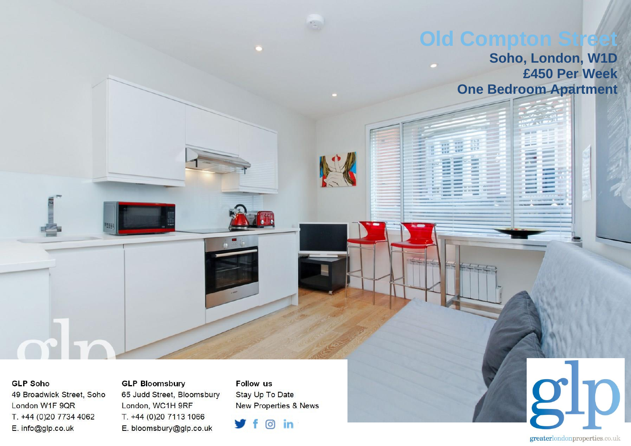## **Old Compton St**

## **Soho, London, W1D £450 Per Week One Bedroom Apartment**

## **GLP Soho**

49 Broadwick Street, Soho London W1F 9QR T. +44 (0)20 7734 4062 E. info@glp.co.uk

**GLP Bloomsbury** 65 Judd Street, Bloomsbury London, WC1H 9RF T. +44 (0)20 7113 1066 E. bloomsbury@glp.co.uk

**Follow us** Stay Up To Date **New Properties & News** 

 $\circ$  in

gho greaterlondonproperties.co.uk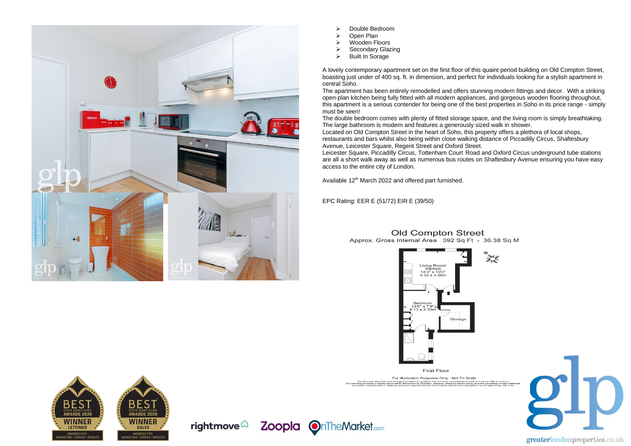

➢ Double Bedroom

- ➢ Open Plan
- ➢ Wooden Floors
- > Secondary Glazing<br>
⊳ Built In Sorage
- Built In Sorage

A lovely contemporary apartment set on the first floor of this quaint period building on Old Compton Street, boasting just under of 400 sq. ft. in dimension, and perfect for individuals looking for a stylish apartment in central Soho.

The apartment has been entirely remodelled and offers stunning modern fittings and decor. With a striking open-plan kitchen being fully fitted with all modern appliances, and gorgeous wooden flooring throughout, this apartment is a serious contender for being one of the best properties in Soho in its price range - simply must be seen!

The double bedroom comes with plenty of fitted storage space, and the living room is simply breathtaking. The large bathroom is modern and features a generously sized walk in shower.

Located on Old Compton Street in the heart of Soho, this property offers a plethora of local shops, restaurants and bars whilst also being within close walking distance of Piccadilly Circus, Shaftesbury Avenue, Leicester Square, Regent Street and Oxford Street.

Leicester Square, Piccadilly Circus, Tottenham Court Road and Oxford Circus underground tube stations are all a short walk away as well as numerous bus routes on Shaftesbury Avenue ensuring you have easy access to the entire city of London.

Available 12<sup>th</sup> March 2022 and offered part furnished.

EPC Rating: EER E (51/72) EIR E (39/50)



**Old Compton Street** 



rightmove $\widehat{\omega}$